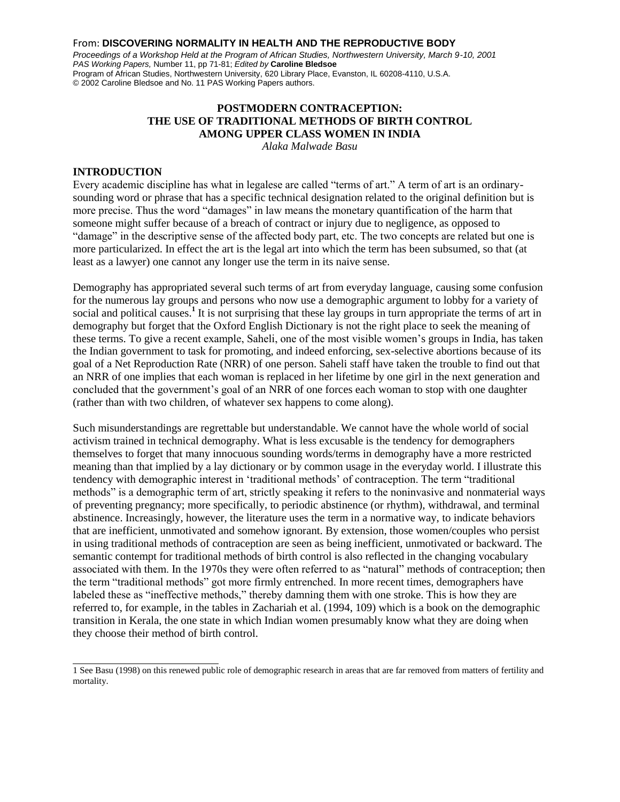#### From: **DISCOVERING NORMALITY IN HEALTH AND THE REPRODUCTIVE BODY**

*Proceedings of a Workshop Held at the Program of African Studies, Northwestern University, March 9-10, 2001 PAS Working Papers,* Number 11, pp 71-81; *Edited by* **Caroline Bledsoe** Program of African Studies, Northwestern University, 620 Library Place, Evanston, IL 60208-4110, U.S.A. © 2002 Caroline Bledsoe and No. 11 PAS Working Papers authors.

# **POSTMODERN CONTRACEPTION: THE USE OF TRADITIONAL METHODS OF BIRTH CONTROL AMONG UPPER CLASS WOMEN IN INDIA**

*Alaka Malwade Basu*

#### **INTRODUCTION**

Every academic discipline has what in legalese are called "terms of art." A term of art is an ordinarysounding word or phrase that has a specific technical designation related to the original definition but is more precise. Thus the word "damages" in law means the monetary quantification of the harm that someone might suffer because of a breach of contract or injury due to negligence, as opposed to "damage" in the descriptive sense of the affected body part, etc. The two concepts are related but one is more particularized. In effect the art is the legal art into which the term has been subsumed, so that (at least as a lawyer) one cannot any longer use the term in its naive sense.

Demography has appropriated several such terms of art from everyday language, causing some confusion for the numerous lay groups and persons who now use a demographic argument to lobby for a variety of social and political causes.<sup>1</sup> It is not surprising that these lay groups in turn appropriate the terms of art in demography but forget that the Oxford English Dictionary is not the right place to seek the meaning of these terms. To give a recent example, Saheli, one of the most visible women"s groups in India, has taken the Indian government to task for promoting, and indeed enforcing, sex-selective abortions because of its goal of a Net Reproduction Rate (NRR) of one person. Saheli staff have taken the trouble to find out that an NRR of one implies that each woman is replaced in her lifetime by one girl in the next generation and concluded that the government"s goal of an NRR of one forces each woman to stop with one daughter (rather than with two children, of whatever sex happens to come along).

Such misunderstandings are regrettable but understandable. We cannot have the whole world of social activism trained in technical demography. What is less excusable is the tendency for demographers themselves to forget that many innocuous sounding words/terms in demography have a more restricted meaning than that implied by a lay dictionary or by common usage in the everyday world. I illustrate this tendency with demographic interest in "traditional methods" of contraception. The term "traditional methods" is a demographic term of art, strictly speaking it refers to the noninvasive and nonmaterial ways of preventing pregnancy; more specifically, to periodic abstinence (or rhythm), withdrawal, and terminal abstinence. Increasingly, however, the literature uses the term in a normative way, to indicate behaviors that are inefficient, unmotivated and somehow ignorant. By extension, those women/couples who persist in using traditional methods of contraception are seen as being inefficient, unmotivated or backward. The semantic contempt for traditional methods of birth control is also reflected in the changing vocabulary associated with them. In the 1970s they were often referred to as "natural" methods of contraception; then the term "traditional methods" got more firmly entrenched. In more recent times, demographers have labeled these as "ineffective methods," thereby damning them with one stroke. This is how they are referred to, for example, in the tables in Zachariah et al. (1994, 109) which is a book on the demographic transition in Kerala, the one state in which Indian women presumably know what they are doing when they choose their method of birth control.

<sup>1</sup> See Basu (1998) on this renewed public role of demographic research in areas that are far removed from matters of fertility and mortality.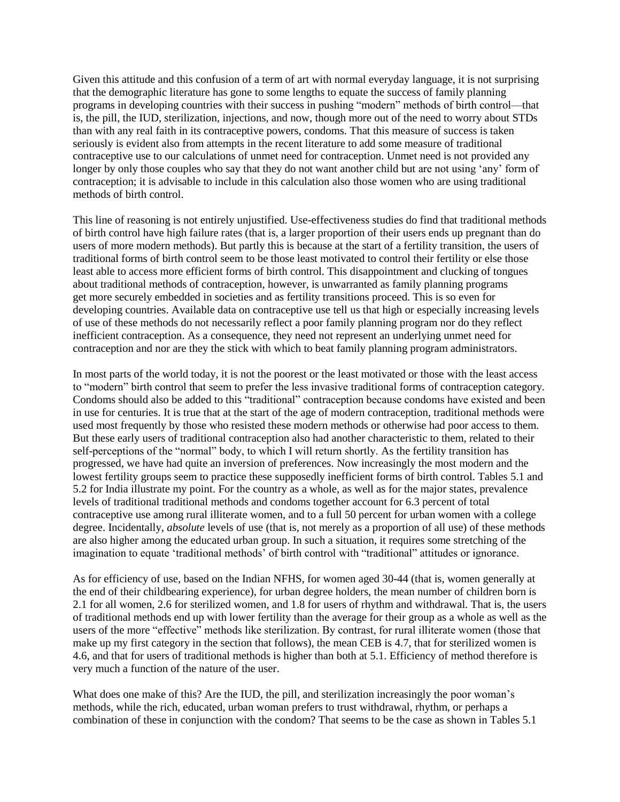Given this attitude and this confusion of a term of art with normal everyday language, it is not surprising that the demographic literature has gone to some lengths to equate the success of family planning programs in developing countries with their success in pushing "modern" methods of birth control—that is, the pill, the IUD, sterilization, injections, and now, though more out of the need to worry about STDs than with any real faith in its contraceptive powers, condoms. That this measure of success is taken seriously is evident also from attempts in the recent literature to add some measure of traditional contraceptive use to our calculations of unmet need for contraception. Unmet need is not provided any longer by only those couples who say that they do not want another child but are not using 'any' form of contraception; it is advisable to include in this calculation also those women who are using traditional methods of birth control.

This line of reasoning is not entirely unjustified. Use-effectiveness studies do find that traditional methods of birth control have high failure rates (that is, a larger proportion of their users ends up pregnant than do users of more modern methods). But partly this is because at the start of a fertility transition, the users of traditional forms of birth control seem to be those least motivated to control their fertility or else those least able to access more efficient forms of birth control. This disappointment and clucking of tongues about traditional methods of contraception, however, is unwarranted as family planning programs get more securely embedded in societies and as fertility transitions proceed. This is so even for developing countries. Available data on contraceptive use tell us that high or especially increasing levels of use of these methods do not necessarily reflect a poor family planning program nor do they reflect inefficient contraception. As a consequence, they need not represent an underlying unmet need for contraception and nor are they the stick with which to beat family planning program administrators.

In most parts of the world today, it is not the poorest or the least motivated or those with the least access to "modern" birth control that seem to prefer the less invasive traditional forms of contraception category. Condoms should also be added to this "traditional" contraception because condoms have existed and been in use for centuries. It is true that at the start of the age of modern contraception, traditional methods were used most frequently by those who resisted these modern methods or otherwise had poor access to them. But these early users of traditional contraception also had another characteristic to them, related to their self-perceptions of the "normal" body, to which I will return shortly. As the fertility transition has progressed, we have had quite an inversion of preferences. Now increasingly the most modern and the lowest fertility groups seem to practice these supposedly inefficient forms of birth control. Tables 5.1 and 5.2 for India illustrate my point. For the country as a whole, as well as for the major states, prevalence levels of traditional traditional methods and condoms together account for 6.3 percent of total contraceptive use among rural illiterate women, and to a full 50 percent for urban women with a college degree. Incidentally, *absolute* levels of use (that is, not merely as a proportion of all use) of these methods are also higher among the educated urban group. In such a situation, it requires some stretching of the imagination to equate "traditional methods" of birth control with "traditional" attitudes or ignorance.

As for efficiency of use, based on the Indian NFHS, for women aged 30-44 (that is, women generally at the end of their childbearing experience), for urban degree holders, the mean number of children born is 2.1 for all women, 2.6 for sterilized women, and 1.8 for users of rhythm and withdrawal. That is, the users of traditional methods end up with lower fertility than the average for their group as a whole as well as the users of the more "effective" methods like sterilization. By contrast, for rural illiterate women (those that make up my first category in the section that follows), the mean CEB is 4.7, that for sterilized women is 4.6, and that for users of traditional methods is higher than both at 5.1. Efficiency of method therefore is very much a function of the nature of the user.

What does one make of this? Are the IUD, the pill, and sterilization increasingly the poor woman's methods, while the rich, educated, urban woman prefers to trust withdrawal, rhythm, or perhaps a combination of these in conjunction with the condom? That seems to be the case as shown in Tables 5.1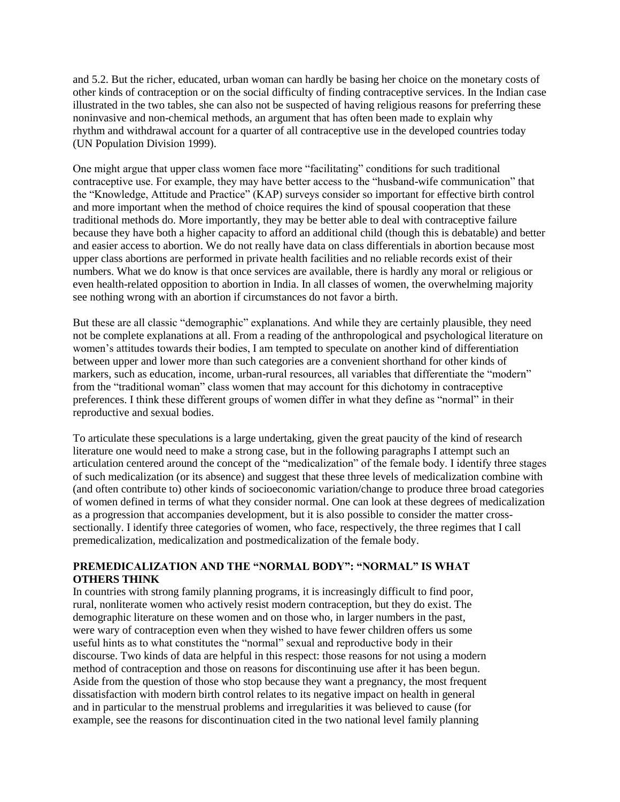and 5.2. But the richer, educated, urban woman can hardly be basing her choice on the monetary costs of other kinds of contraception or on the social difficulty of finding contraceptive services. In the Indian case illustrated in the two tables, she can also not be suspected of having religious reasons for preferring these noninvasive and non-chemical methods, an argument that has often been made to explain why rhythm and withdrawal account for a quarter of all contraceptive use in the developed countries today (UN Population Division 1999).

One might argue that upper class women face more "facilitating" conditions for such traditional contraceptive use. For example, they may have better access to the "husband-wife communication" that the "Knowledge, Attitude and Practice" (KAP) surveys consider so important for effective birth control and more important when the method of choice requires the kind of spousal cooperation that these traditional methods do. More importantly, they may be better able to deal with contraceptive failure because they have both a higher capacity to afford an additional child (though this is debatable) and better and easier access to abortion. We do not really have data on class differentials in abortion because most upper class abortions are performed in private health facilities and no reliable records exist of their numbers. What we do know is that once services are available, there is hardly any moral or religious or even health-related opposition to abortion in India. In all classes of women, the overwhelming majority see nothing wrong with an abortion if circumstances do not favor a birth.

But these are all classic "demographic" explanations. And while they are certainly plausible, they need not be complete explanations at all. From a reading of the anthropological and psychological literature on women"s attitudes towards their bodies, I am tempted to speculate on another kind of differentiation between upper and lower more than such categories are a convenient shorthand for other kinds of markers, such as education, income, urban-rural resources, all variables that differentiate the "modern" from the "traditional woman" class women that may account for this dichotomy in contraceptive preferences. I think these different groups of women differ in what they define as "normal" in their reproductive and sexual bodies.

To articulate these speculations is a large undertaking, given the great paucity of the kind of research literature one would need to make a strong case, but in the following paragraphs I attempt such an articulation centered around the concept of the "medicalization" of the female body. I identify three stages of such medicalization (or its absence) and suggest that these three levels of medicalization combine with (and often contribute to) other kinds of socioeconomic variation/change to produce three broad categories of women defined in terms of what they consider normal. One can look at these degrees of medicalization as a progression that accompanies development, but it is also possible to consider the matter crosssectionally. I identify three categories of women, who face, respectively, the three regimes that I call premedicalization, medicalization and postmedicalization of the female body.

# **PREMEDICALIZATION AND THE "NORMAL BODY": "NORMAL" IS WHAT OTHERS THINK**

In countries with strong family planning programs, it is increasingly difficult to find poor, rural, nonliterate women who actively resist modern contraception, but they do exist. The demographic literature on these women and on those who, in larger numbers in the past, were wary of contraception even when they wished to have fewer children offers us some useful hints as to what constitutes the "normal" sexual and reproductive body in their discourse. Two kinds of data are helpful in this respect: those reasons for not using a modern method of contraception and those on reasons for discontinuing use after it has been begun. Aside from the question of those who stop because they want a pregnancy, the most frequent dissatisfaction with modern birth control relates to its negative impact on health in general and in particular to the menstrual problems and irregularities it was believed to cause (for example, see the reasons for discontinuation cited in the two national level family planning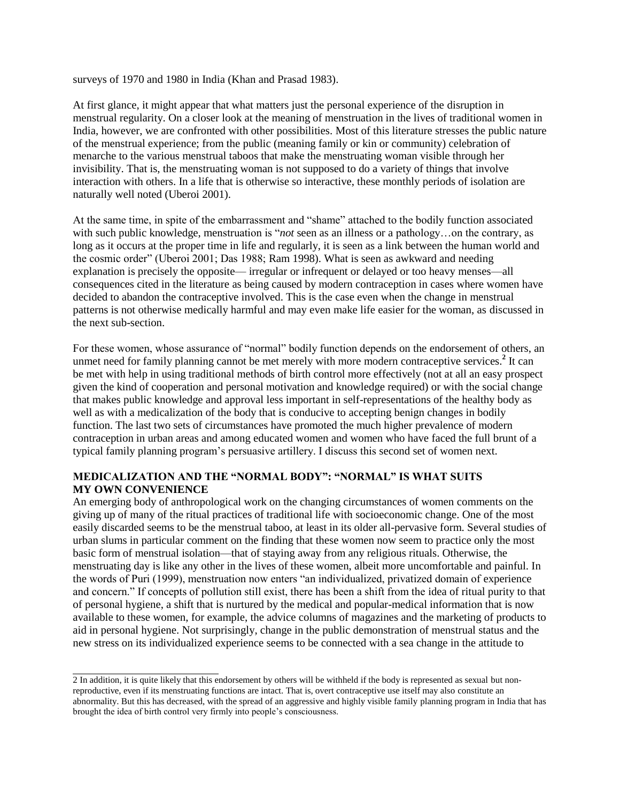surveys of 1970 and 1980 in India (Khan and Prasad 1983).

At first glance, it might appear that what matters just the personal experience of the disruption in menstrual regularity. On a closer look at the meaning of menstruation in the lives of traditional women in India, however, we are confronted with other possibilities. Most of this literature stresses the public nature of the menstrual experience; from the public (meaning family or kin or community) celebration of menarche to the various menstrual taboos that make the menstruating woman visible through her invisibility. That is, the menstruating woman is not supposed to do a variety of things that involve interaction with others. In a life that is otherwise so interactive, these monthly periods of isolation are naturally well noted (Uberoi 2001).

At the same time, in spite of the embarrassment and "shame" attached to the bodily function associated with such public knowledge, menstruation is "*not* seen as an illness or a pathology…on the contrary, as long as it occurs at the proper time in life and regularly, it is seen as a link between the human world and the cosmic order" (Uberoi 2001; Das 1988; Ram 1998). What is seen as awkward and needing explanation is precisely the opposite— irregular or infrequent or delayed or too heavy menses—all consequences cited in the literature as being caused by modern contraception in cases where women have decided to abandon the contraceptive involved. This is the case even when the change in menstrual patterns is not otherwise medically harmful and may even make life easier for the woman, as discussed in the next sub-section.

For these women, whose assurance of "normal" bodily function depends on the endorsement of others, an unmet need for family planning cannot be met merely with more modern contraceptive services.<sup>2</sup> It can be met with help in using traditional methods of birth control more effectively (not at all an easy prospect given the kind of cooperation and personal motivation and knowledge required) or with the social change that makes public knowledge and approval less important in self-representations of the healthy body as well as with a medicalization of the body that is conducive to accepting benign changes in bodily function. The last two sets of circumstances have promoted the much higher prevalence of modern contraception in urban areas and among educated women and women who have faced the full brunt of a typical family planning program"s persuasive artillery. I discuss this second set of women next.

### **MEDICALIZATION AND THE "NORMAL BODY": "NORMAL" IS WHAT SUITS MY OWN CONVENIENCE**

An emerging body of anthropological work on the changing circumstances of women comments on the giving up of many of the ritual practices of traditional life with socioeconomic change. One of the most easily discarded seems to be the menstrual taboo, at least in its older all-pervasive form. Several studies of urban slums in particular comment on the finding that these women now seem to practice only the most basic form of menstrual isolation—that of staying away from any religious rituals. Otherwise, the menstruating day is like any other in the lives of these women, albeit more uncomfortable and painful. In the words of Puri (1999), menstruation now enters "an individualized, privatized domain of experience and concern." If concepts of pollution still exist, there has been a shift from the idea of ritual purity to that of personal hygiene, a shift that is nurtured by the medical and popular-medical information that is now available to these women, for example, the advice columns of magazines and the marketing of products to aid in personal hygiene. Not surprisingly, change in the public demonstration of menstrual status and the new stress on its individualized experience seems to be connected with a sea change in the attitude to

<sup>2</sup> In addition, it is quite likely that this endorsement by others will be withheld if the body is represented as sexual but nonreproductive, even if its menstruating functions are intact. That is, overt contraceptive use itself may also constitute an abnormality. But this has decreased, with the spread of an aggressive and highly visible family planning program in India that has brought the idea of birth control very firmly into people"s consciousness.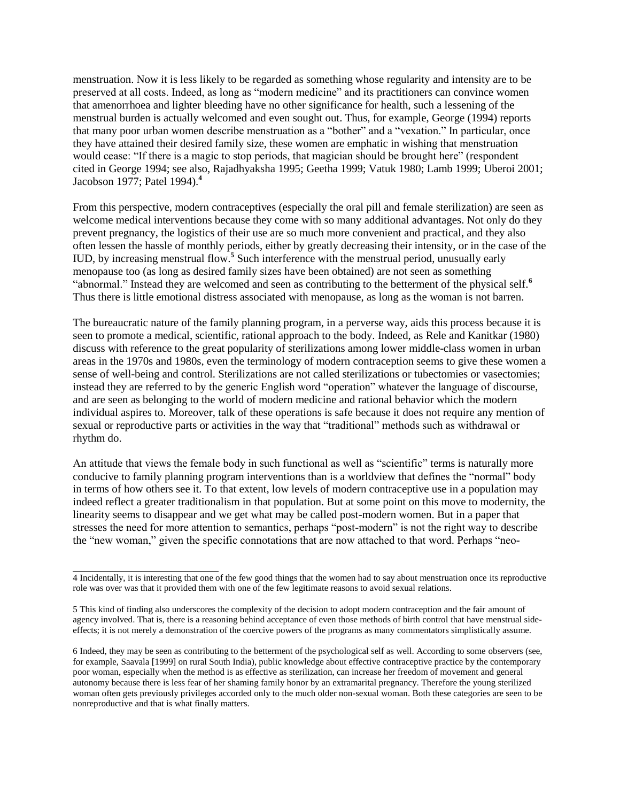menstruation. Now it is less likely to be regarded as something whose regularity and intensity are to be preserved at all costs. Indeed, as long as "modern medicine" and its practitioners can convince women that amenorrhoea and lighter bleeding have no other significance for health, such a lessening of the menstrual burden is actually welcomed and even sought out. Thus, for example, George (1994) reports that many poor urban women describe menstruation as a "bother" and a "vexation." In particular, once they have attained their desired family size, these women are emphatic in wishing that menstruation would cease: "If there is a magic to stop periods, that magician should be brought here" (respondent cited in George 1994; see also, Rajadhyaksha 1995; Geetha 1999; Vatuk 1980; Lamb 1999; Uberoi 2001; Jacobson 1977; Patel 1994).**<sup>4</sup>**

From this perspective, modern contraceptives (especially the oral pill and female sterilization) are seen as welcome medical interventions because they come with so many additional advantages. Not only do they prevent pregnancy, the logistics of their use are so much more convenient and practical, and they also often lessen the hassle of monthly periods, either by greatly decreasing their intensity, or in the case of the IUD, by increasing menstrual flow.**<sup>5</sup>** Such interference with the menstrual period, unusually early menopause too (as long as desired family sizes have been obtained) are not seen as something "abnormal." Instead they are welcomed and seen as contributing to the betterment of the physical self.**<sup>6</sup>** Thus there is little emotional distress associated with menopause, as long as the woman is not barren.

The bureaucratic nature of the family planning program, in a perverse way, aids this process because it is seen to promote a medical, scientific, rational approach to the body. Indeed, as Rele and Kanitkar (1980) discuss with reference to the great popularity of sterilizations among lower middle-class women in urban areas in the 1970s and 1980s, even the terminology of modern contraception seems to give these women a sense of well-being and control. Sterilizations are not called sterilizations or tubectomies or vasectomies; instead they are referred to by the generic English word "operation" whatever the language of discourse, and are seen as belonging to the world of modern medicine and rational behavior which the modern individual aspires to. Moreover, talk of these operations is safe because it does not require any mention of sexual or reproductive parts or activities in the way that "traditional" methods such as withdrawal or rhythm do.

An attitude that views the female body in such functional as well as "scientific" terms is naturally more conducive to family planning program interventions than is a worldview that defines the "normal" body in terms of how others see it. To that extent, low levels of modern contraceptive use in a population may indeed reflect a greater traditionalism in that population. But at some point on this move to modernity, the linearity seems to disappear and we get what may be called post-modern women. But in a paper that stresses the need for more attention to semantics, perhaps "post-modern" is not the right way to describe the "new woman," given the specific connotations that are now attached to that word. Perhaps "neo-

<sup>4</sup> Incidentally, it is interesting that one of the few good things that the women had to say about menstruation once its reproductive role was over was that it provided them with one of the few legitimate reasons to avoid sexual relations.

<sup>5</sup> This kind of finding also underscores the complexity of the decision to adopt modern contraception and the fair amount of agency involved. That is, there is a reasoning behind acceptance of even those methods of birth control that have menstrual sideeffects; it is not merely a demonstration of the coercive powers of the programs as many commentators simplistically assume.

<sup>6</sup> Indeed, they may be seen as contributing to the betterment of the psychological self as well. According to some observers (see, for example, Saavala [1999] on rural South India), public knowledge about effective contraceptive practice by the contemporary poor woman, especially when the method is as effective as sterilization, can increase her freedom of movement and general autonomy because there is less fear of her shaming family honor by an extramarital pregnancy. Therefore the young sterilized woman often gets previously privileges accorded only to the much older non-sexual woman. Both these categories are seen to be nonreproductive and that is what finally matters.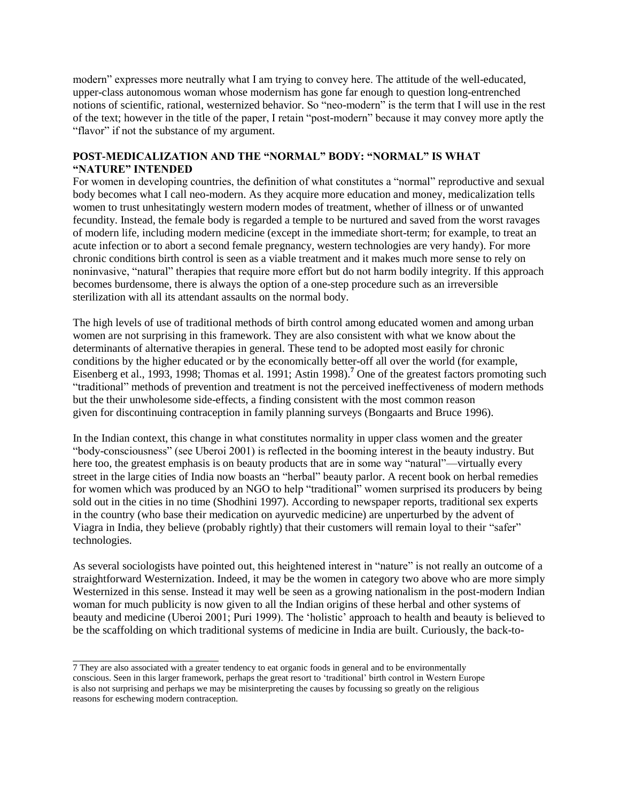modern" expresses more neutrally what I am trying to convey here. The attitude of the well-educated, upper-class autonomous woman whose modernism has gone far enough to question long-entrenched notions of scientific, rational, westernized behavior. So "neo-modern" is the term that I will use in the rest of the text; however in the title of the paper, I retain "post-modern" because it may convey more aptly the "flavor" if not the substance of my argument.

## **POST-MEDICALIZATION AND THE "NORMAL" BODY: "NORMAL" IS WHAT "NATURE" INTENDED**

For women in developing countries, the definition of what constitutes a "normal" reproductive and sexual body becomes what I call neo-modern. As they acquire more education and money, medicalization tells women to trust unhesitatingly western modern modes of treatment, whether of illness or of unwanted fecundity. Instead, the female body is regarded a temple to be nurtured and saved from the worst ravages of modern life, including modern medicine (except in the immediate short-term; for example, to treat an acute infection or to abort a second female pregnancy, western technologies are very handy). For more chronic conditions birth control is seen as a viable treatment and it makes much more sense to rely on noninvasive, "natural" therapies that require more effort but do not harm bodily integrity. If this approach becomes burdensome, there is always the option of a one-step procedure such as an irreversible sterilization with all its attendant assaults on the normal body.

The high levels of use of traditional methods of birth control among educated women and among urban women are not surprising in this framework. They are also consistent with what we know about the determinants of alternative therapies in general. These tend to be adopted most easily for chronic conditions by the higher educated or by the economically better-off all over the world (for example, Eisenberg et al., 1993, 1998; Thomas et al. 1991; Astin 1998).**<sup>7</sup>** One of the greatest factors promoting such "traditional" methods of prevention and treatment is not the perceived ineffectiveness of modern methods but the their unwholesome side-effects, a finding consistent with the most common reason given for discontinuing contraception in family planning surveys (Bongaarts and Bruce 1996).

In the Indian context, this change in what constitutes normality in upper class women and the greater "body-consciousness" (see Uberoi 2001) is reflected in the booming interest in the beauty industry. But here too, the greatest emphasis is on beauty products that are in some way "natural"—virtually every street in the large cities of India now boasts an "herbal" beauty parlor. A recent book on herbal remedies for women which was produced by an NGO to help "traditional" women surprised its producers by being sold out in the cities in no time (Shodhini 1997). According to newspaper reports, traditional sex experts in the country (who base their medication on ayurvedic medicine) are unperturbed by the advent of Viagra in India, they believe (probably rightly) that their customers will remain loyal to their "safer" technologies.

As several sociologists have pointed out, this heightened interest in "nature" is not really an outcome of a straightforward Westernization. Indeed, it may be the women in category two above who are more simply Westernized in this sense. Instead it may well be seen as a growing nationalism in the post-modern Indian woman for much publicity is now given to all the Indian origins of these herbal and other systems of beauty and medicine (Uberoi 2001; Puri 1999). The "holistic" approach to health and beauty is believed to be the scaffolding on which traditional systems of medicine in India are built. Curiously, the back-to-

<sup>7</sup> They are also associated with a greater tendency to eat organic foods in general and to be environmentally conscious. Seen in this larger framework, perhaps the great resort to "traditional" birth control in Western Europe is also not surprising and perhaps we may be misinterpreting the causes by focussing so greatly on the religious reasons for eschewing modern contraception.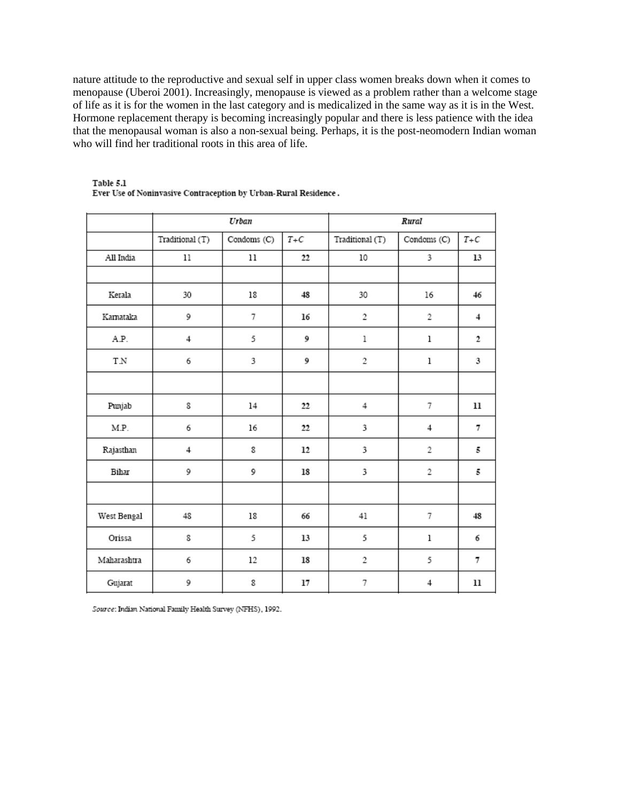nature attitude to the reproductive and sexual self in upper class women breaks down when it comes to menopause (Uberoi 2001). Increasingly, menopause is viewed as a problem rather than a welcome stage of life as it is for the women in the last category and is medicalized in the same way as it is in the West. Hormone replacement therapy is becoming increasingly popular and there is less patience with the idea that the menopausal woman is also a non-sexual being. Perhaps, it is the post-neomodern Indian woman who will find her traditional roots in this area of life.

|             |                 | Urban       |       | Rural               |             |              |  |
|-------------|-----------------|-------------|-------|---------------------|-------------|--------------|--|
|             | Traditional (T) | Condoms (C) | $T+C$ | Traditional (T)     | Condoms (C) | $T\text{+}C$ |  |
| All India   | $11\,$          | 11          | 22    | $10\,$              | 3           | 13           |  |
|             |                 |             |       |                     |             |              |  |
| Kerala      | 30              | 18          | 48    | 30                  | 16          | 46           |  |
| Kamataka    | 9               | 7           | 16    | $\,2$               | 2           | 4            |  |
| A.P.        | 4               | 5           | 9     | $\,1$<br>ı          |             | 2            |  |
| T.N         | 6               | 3           | 9     | $\overline{2}$      | ı           | 3            |  |
|             |                 |             |       |                     |             |              |  |
| Punjab      | 8               | 14          | 22    | $\overline{4}$<br>7 |             | 11           |  |
| M.P.        | 6               | 16          | 22    | 3                   | 4           | 7            |  |
| Rajasthan   | 4               | 8           | 12    | 3                   | 2           | 5            |  |
| Bihar       | 9               | 9           | 18    | 3                   | 2           | 5            |  |
|             |                 |             |       |                     |             |              |  |
| West Bengal | 48              | 18          | 66    | 41                  | 7           | 48           |  |
| Orissa      | 8               | 5           | 13    | 5                   | ı           | 6            |  |
| Maharashtra | 6               | 12          | 18    | $\,2$               | 5           | 7            |  |
| Gujarat     | 9               | 8           | 17    | 7                   | 4           | 11           |  |

#### Table 5.1 Ever Use of Noninvasive Contraception by Urban-Rural Residence.

Source: Indian National Family Health Survey (NFHS), 1992.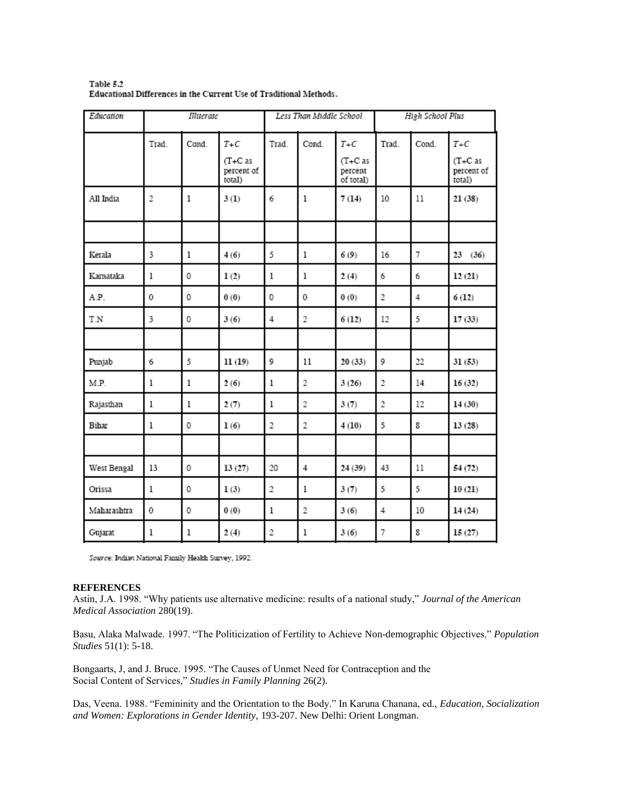| Education   | Illiterate     |              |                                              | Less Than Middle School |       |                                            | High School Plus |       |                                            |
|-------------|----------------|--------------|----------------------------------------------|-------------------------|-------|--------------------------------------------|------------------|-------|--------------------------------------------|
|             | Trad.          | Cond.        | $T + C$<br>$(T+Cas)$<br>percent of<br>total) | Trad.                   | Cond. | $T+C$<br>$(T+C as$<br>percent<br>of total) | Trad.            | Cond. | $T+C$<br>$(T+C$ as<br>percent of<br>total) |
| All India   | $\overline{2}$ | $\mathbf{1}$ | 3(1)                                         | 6                       | ı     | 7(14)                                      | 10               | 11    | 21(38)                                     |
|             |                |              |                                              |                         |       |                                            |                  |       |                                            |
| Kerala      | 3              | $\bf{l}$     | 4(6)                                         | 5                       | 1     | 6(9)                                       | 16               | 7     | 23(36)                                     |
| Kamataka    | 1              | 0            | 1(2)                                         | ı                       | 1     | 2(4)                                       | 6                | 6     | 12(21)                                     |
| A.P.        | 0              | 0            | 0(0)                                         | 0                       | 0     | 0(0)                                       | $\overline{2}$   | 4     | 6(12)                                      |
| T.N         | 3              | 0            | 3(6)                                         | 4                       | 2     | 6(12)                                      | 12               | 5     | 17(33)                                     |
|             |                |              |                                              |                         |       |                                            |                  |       |                                            |
| Punjab      | 6              | 5            | 11(19)                                       | 9                       | 11    | 20(33)                                     | 9                | 22    | 31(53)                                     |
| M.P.        | $\mathbf{1}$   | $\mathbf{1}$ | 2(6)                                         | ı                       | 2     | 3(26)                                      | 2                | 14    | 16(32)                                     |
| Rajasthan   | 1              | ı            | 2(7)                                         | ı                       | 2     | 3(7)                                       | 2                | 12    | 14(30)                                     |
| Bihar       | 1              | 0            | 1(6)                                         | 2                       | 2     | 4(10)                                      | 5                | 8     | 13(28)                                     |
|             |                |              |                                              |                         |       |                                            |                  |       |                                            |
| West Bengal | 13             | 0            | 13(27)                                       | 20                      | 4     | 24(39)                                     | 43               | 11    | 54 (72)                                    |
| Orissa      | ı              | 0            | 1(3)                                         | 2                       | ı     | 3(7)                                       | 5                | 5     | 10(21)                                     |
| Maharashtra | 0              | 0            | 0(0)                                         | ı                       | 2     | 3(6)                                       | $\overline{4}$   | 10    | 14(24)                                     |
| Gujarat     | 1              | 1            | 2(4)                                         | 2                       | ı     | 3(6)                                       | 7                | 8     | 15(27)                                     |

Table 5.2 Educational Differences in the Current Use of Traditional Methods.

Source: Indian National Family Health Survey, 1992.

#### **REFERENCES**

Astin, J.A. 1998. "Why patients use alternative medicine: results of a national study," *Journal of the American Medical Association* 280(19).

Basu, Alaka Malwade. 1997. "The Politicization of Fertility to Achieve Non-demographic Objectives." *Population Studies* 51(1): 5-18.

Bongaarts, J, and J. Bruce. 1995. "The Causes of Unmet Need for Contraception and the Social Content of Services," *Studies in Family Planning* 26(2).

Das, Veena. 1988. "Femininity and the Orientation to the Body." In Karuna Chanana, ed., *Education, Socialization and Women: Explorations in Gender Identity,* 193-207. New Delhi: Orient Longman.